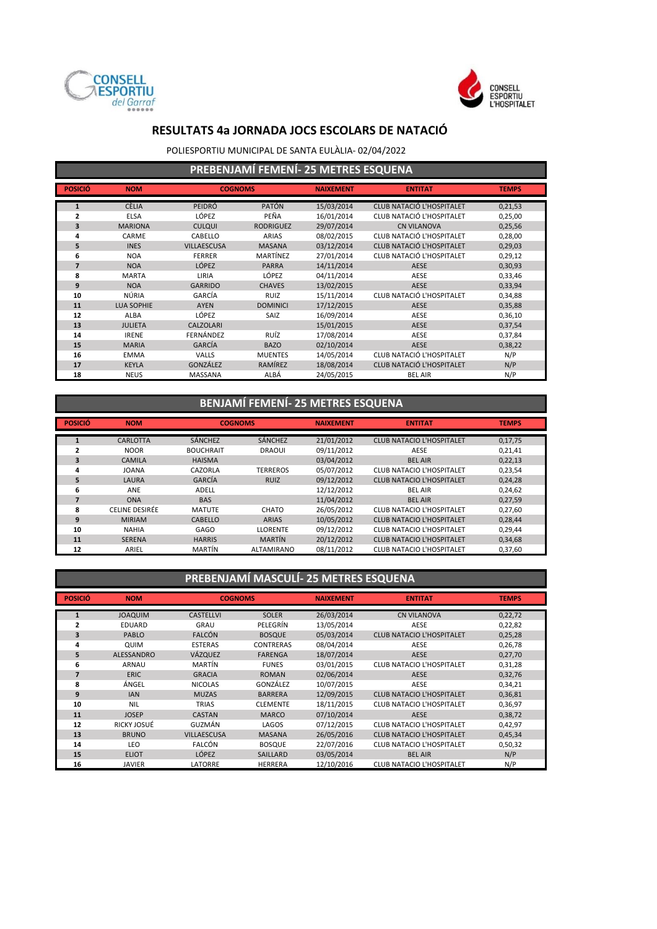



POLIESPORTIU MUNICIPAL DE SANTA EULÀLIA- 02/04/2022

| PREBENJAMÍ FEMENÍ- 25 METRES ESQUENA |  |
|--------------------------------------|--|
|--------------------------------------|--|

| <b>POSICIÓ</b> | <b>NOM</b>        | <b>COGNOMS</b>     |                  | <b>NAIXEMENT</b> | <b>ENTITAT</b>                   | <b>TEMPS</b> |
|----------------|-------------------|--------------------|------------------|------------------|----------------------------------|--------------|
| $\mathbf{1}$   | <b>CÈLIA</b>      | PEIDRÓ             | <b>PATÓN</b>     | 15/03/2014       | CLUB NATACIÓ L'HOSPITALET        | 0,21,53      |
| $\overline{2}$ | <b>ELSA</b>       | LÓPEZ              | PEÑA             | 16/01/2014       | CLUB NATACIÓ L'HOSPITALET        | 0,25,00      |
| 3              | <b>MARIONA</b>    | <b>CULQUI</b>      | <b>RODRIGUEZ</b> | 29/07/2014       | <b>CN VILANOVA</b>               | 0,25,56      |
| 4              | CARME             | CABELLO            | <b>ARIAS</b>     | 08/02/2015       | CLUB NATACIÓ L'HOSPITALET        | 0,28,00      |
| 5              | <b>INES</b>       | <b>VILLAESCUSA</b> | <b>MASANA</b>    | 03/12/2014       | <b>CLUB NATACIÓ L'HOSPITALET</b> | 0,29,03      |
| 6              | <b>NOA</b>        | <b>FERRER</b>      | MARTÍNEZ         | 27/01/2014       | CLUB NATACIÓ L'HOSPITALET        | 0,29,12      |
| $\overline{7}$ | <b>NOA</b>        | <b>LÓPEZ</b>       | <b>PARRA</b>     | 14/11/2014       | <b>AESE</b>                      | 0,30,93      |
| 8              | <b>MARTA</b>      | LIRIA              | LÓPEZ            | 04/11/2014       | AESE                             | 0,33,46      |
| 9              | <b>NOA</b>        | <b>GARRIDO</b>     | <b>CHAVES</b>    | 13/02/2015       | <b>AESE</b>                      | 0,33,94      |
| 10             | NÚRIA             | GARCÍA             | <b>RUIZ</b>      | 15/11/2014       | CLUB NATACIÓ L'HOSPITALET        | 0,34,88      |
| 11             | <b>LUA SOPHIE</b> | AYEN               | <b>DOMINICI</b>  | 17/12/2015       | AESE                             | 0,35,88      |
| 12             | <b>ALBA</b>       | LÓPEZ              | SAIZ             | 16/09/2014       | AESE                             | 0,36,10      |
| 13             | <b>JULIETA</b>    | <b>CALZOLARI</b>   |                  | 15/01/2015       | <b>AESE</b>                      | 0,37,54      |
| 14             | <b>IRENE</b>      | FERNÁNDEZ          | RUÍZ             | 17/08/2014       | AESE                             | 0,37,84      |
| 15             | <b>MARIA</b>      | GARCÍA             | <b>BAZO</b>      | 02/10/2014       | <b>AESE</b>                      | 0,38,22      |
| 16             | <b>EMMA</b>       | <b>VALLS</b>       | <b>MUENTES</b>   | 14/05/2014       | CLUB NATACIÓ L'HOSPITALET        | N/P          |
| 17             | <b>KEYLA</b>      | GONZÁLEZ           | RAMÍREZ          | 18/08/2014       | <b>CLUB NATACIÓ L'HOSPITALET</b> | N/P          |
| 18             | <b>NEUS</b>       | <b>MASSANA</b>     | ALBÁ             | 24/05/2015       | <b>BEL AIR</b>                   | N/P          |

### **BENJAMÍ FEMENÍ- 25 METRES ESQUENA**

| <b>POSICIÓ</b> | <b>NOM</b>     | <b>COGNOMS</b>   |                 | <b>NAIXEMENT</b> | <b>ENTITAT</b>                   | <b>TEMPS</b> |
|----------------|----------------|------------------|-----------------|------------------|----------------------------------|--------------|
|                | CARLOTTA       | <b>SÁNCHEZ</b>   | <b>SÁNCHEZ</b>  | 21/01/2012       | <b>CLUB NATACIO L'HOSPITALET</b> |              |
|                |                |                  |                 |                  |                                  | 0,17,75      |
| 2              | <b>NOOR</b>    | <b>BOUCHRAIT</b> | <b>DRAOUI</b>   | 09/11/2012       | AESE                             | 0,21,41      |
| 3              | <b>CAMILA</b>  | <b>HAISMA</b>    |                 | 03/04/2012       | <b>BEL AIR</b>                   | 0,22,13      |
| 4              | <b>JOANA</b>   | CAZORLA          | <b>TERREROS</b> | 05/07/2012       | <b>CLUB NATACIO L'HOSPITALET</b> | 0,23,54      |
| 5              | LAURA          | GARCÍA           | <b>RUIZ</b>     | 09/12/2012       | <b>CLUB NATACIO L'HOSPITALET</b> | 0,24,28      |
| 6              | ANE            | <b>ADELL</b>     |                 | 12/12/2012       | <b>BEL AIR</b>                   | 0,24,62      |
|                | <b>ONA</b>     | <b>BAS</b>       |                 | 11/04/2012       | <b>BEL AIR</b>                   | 0,27,59      |
| 8              | CELINE DESIRÉE | <b>MATUTE</b>    | <b>CHATO</b>    | 26/05/2012       | <b>CLUB NATACIO L'HOSPITALET</b> | 0,27,60      |
| 9              | <b>MIRIAM</b>  | <b>CABELLO</b>   | <b>ARIAS</b>    | 10/05/2012       | <b>CLUB NATACIO L'HOSPITALET</b> | 0,28,44      |
| 10             | <b>NAHIA</b>   | GAGO             | <b>LLORENTE</b> | 09/12/2012       | CLUB NATACIO L'HOSPITALET        | 0,29,44      |
| 11             | <b>SERENA</b>  | <b>HARRIS</b>    | <b>MARTÍN</b>   | 20/12/2012       | <b>CLUB NATACIO L'HOSPITALET</b> | 0,34,68      |
| 12             | ARIEL          | <b>MARTÍN</b>    | ALTAMIRANO      | 08/11/2012       | <b>CLUB NATACIO L'HOSPITALET</b> | 0,37,60      |

## **PREBENJAMÍ MASCULÍ- 25 METRES ESQUENA**

| <b>POSICIÓ</b> | <b>NOM</b>        | <b>COGNOMS</b>     |                  | <b>NAIXEMENT</b> | <b>ENTITAT</b>                   | <b>TEMPS</b> |
|----------------|-------------------|--------------------|------------------|------------------|----------------------------------|--------------|
|                |                   |                    |                  |                  |                                  |              |
| $\mathbf{1}$   | <b>JOAQUIM</b>    | <b>CASTELLVI</b>   | <b>SOLER</b>     | 26/03/2014       | <b>CN VILANOVA</b>               | 0,22,72      |
| 2              | EDUARD            | GRAU               | PELEGRÍN         | 13/05/2014       | AESE                             | 0,22,82      |
| 3              | PABLO             | <b>FALCÓN</b>      | <b>BOSQUE</b>    | 05/03/2014       | <b>CLUB NATACIO L'HOSPITALET</b> | 0,25,28      |
| 4              | QUIM              | <b>ESTERAS</b>     | <b>CONTRERAS</b> | 08/04/2014       | AESE                             | 0,26,78      |
| 5              | <b>ALESSANDRO</b> | <b>VÁZQUEZ</b>     | <b>FARENGA</b>   | 18/07/2014       | <b>AESE</b>                      | 0,27,70      |
| 6              | <b>ARNAU</b>      | MARTÍN             | <b>FUNES</b>     | 03/01/2015       | <b>CLUB NATACIO L'HOSPITALET</b> | 0,31,28      |
| $\overline{7}$ | <b>ERIC</b>       | <b>GRACIA</b>      | <b>ROMAN</b>     | 02/06/2014       | <b>AESE</b>                      | 0,32,76      |
| 8              | ÁNGEL             | <b>NICOLAS</b>     | GONZÁLEZ         | 10/07/2015       | AESE                             | 0,34,21      |
| 9              | <b>IAN</b>        | <b>MUZAS</b>       | <b>BARRERA</b>   | 12/09/2015       | <b>CLUB NATACIO L'HOSPITALET</b> | 0,36,81      |
| 10             | <b>NIL</b>        | <b>TRIAS</b>       | <b>CLEMENTE</b>  | 18/11/2015       | <b>CLUB NATACIO L'HOSPITALET</b> | 0,36,97      |
| 11             | <b>JOSEP</b>      | <b>CASTAN</b>      | <b>MARCO</b>     | 07/10/2014       | <b>AESE</b>                      | 0,38,72      |
| 12             | RICKY JOSUÉ       | GUZMÁN             | LAGOS            | 07/12/2015       | CLUB NATACIO L'HOSPITALET        | 0,42,97      |
| 13             | <b>BRUNO</b>      | <b>VILLAESCUSA</b> | <b>MASANA</b>    | 26/05/2016       | <b>CLUB NATACIO L'HOSPITALET</b> | 0,45,34      |
| 14             | LEO               | FALCÓN             | <b>BOSQUE</b>    | 22/07/2016       | <b>CLUB NATACIO L'HOSPITALET</b> | 0,50,32      |
| 15             | <b>ELIOT</b>      | LÓPEZ              | <b>SAILLARD</b>  | 03/05/2014       | <b>BEL AIR</b>                   | N/P          |
| 16             | JAVIER            | LATORRE            | <b>HERRERA</b>   | 12/10/2016       | <b>CLUB NATACIO L'HOSPITALET</b> | N/P          |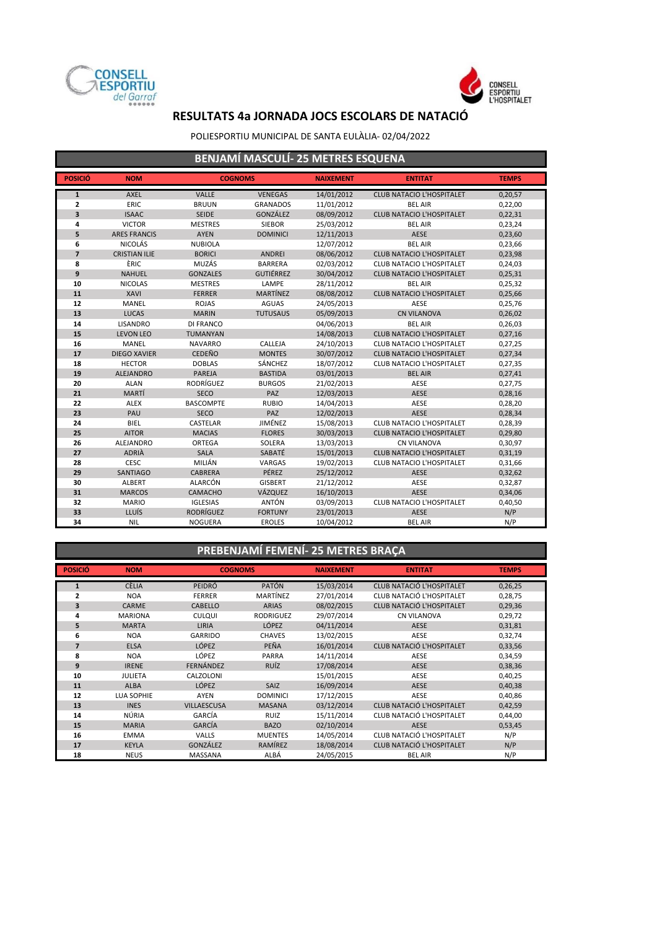



#### POLIESPORTIU MUNICIPAL DE SANTA EULÀLIA- 02/04/2022

| BENJAMÍ MASCULÍ- 25 METRES ESQUENA |                      |                  |                  |                  |                                  |              |  |  |  |
|------------------------------------|----------------------|------------------|------------------|------------------|----------------------------------|--------------|--|--|--|
| <b>POSICIÓ</b>                     | <b>NOM</b>           | <b>COGNOMS</b>   |                  | <b>NAIXEMENT</b> | <b>ENTITAT</b>                   | <b>TEMPS</b> |  |  |  |
| $\mathbf{1}$                       | <b>AXEL</b>          | <b>VALLE</b>     | <b>VENEGAS</b>   | 14/01/2012       | <b>CLUB NATACIO L'HOSPITALET</b> | 0,20,57      |  |  |  |
| 2                                  | ERIC                 | <b>BRUUN</b>     | <b>GRANADOS</b>  | 11/01/2012       | <b>BEL AIR</b>                   | 0,22,00      |  |  |  |
| 3                                  | <b>ISAAC</b>         | <b>SEIDE</b>     | GONZÁLEZ         | 08/09/2012       | <b>CLUB NATACIO L'HOSPITALET</b> | 0,22,31      |  |  |  |
| 4                                  | <b>VICTOR</b>        | <b>MESTRES</b>   | <b>SIEBOR</b>    | 25/03/2012       | <b>BEL AIR</b>                   | 0,23,24      |  |  |  |
| 5                                  | <b>ARES FRANCIS</b>  | <b>AYEN</b>      | <b>DOMINICI</b>  | 12/11/2013       | AESE                             | 0,23,60      |  |  |  |
| 6                                  | <b>NICOLÁS</b>       | <b>NUBIOLA</b>   |                  | 12/07/2012       | <b>BEL AIR</b>                   | 0,23,66      |  |  |  |
| $\overline{7}$                     | <b>CRISTIAN ILIE</b> | <b>BORICI</b>    | <b>ANDREI</b>    | 08/06/2012       | <b>CLUB NATACIO L'HOSPITALET</b> | 0,23,98      |  |  |  |
| 8                                  | ÈRIC                 | MUZÁS            | <b>BARRERA</b>   | 02/03/2012       | CLUB NATACIO L'HOSPITALET        | 0,24,03      |  |  |  |
| 9                                  | <b>NAHUEL</b>        | <b>GONZALES</b>  | <b>GUTIÉRREZ</b> | 30/04/2012       | <b>CLUB NATACIO L'HOSPITALET</b> | 0,25,31      |  |  |  |
| 10                                 | <b>NICOLAS</b>       | <b>MESTRES</b>   | LAMPE            | 28/11/2012       | <b>BEL AIR</b>                   | 0,25,32      |  |  |  |
| 11                                 | XAVI                 | <b>FERRER</b>    | MARTÍNEZ         | 08/08/2012       | <b>CLUB NATACIO L'HOSPITALET</b> | 0,25,66      |  |  |  |
| 12                                 | <b>MANEL</b>         | <b>ROJAS</b>     | <b>AGUAS</b>     | 24/05/2013       | AESE                             | 0,25,76      |  |  |  |
| 13                                 | <b>LUCAS</b>         | <b>MARIN</b>     | <b>TUTUSAUS</b>  | 05/09/2013       | <b>CN VILANOVA</b>               | 0,26,02      |  |  |  |
| 14                                 | LISANDRO             | <b>DI FRANCO</b> |                  | 04/06/2013       | <b>BEL AIR</b>                   | 0,26,03      |  |  |  |
| 15                                 | <b>LEVON LEO</b>     | <b>TUMANYAN</b>  |                  | 14/08/2013       | <b>CLUB NATACIO L'HOSPITALET</b> | 0,27,16      |  |  |  |
| 16                                 | <b>MANEL</b>         | <b>NAVARRO</b>   | CALLEJA          | 24/10/2013       | <b>CLUB NATACIO L'HOSPITALET</b> | 0,27,25      |  |  |  |
| 17                                 | <b>DIEGO XAVIER</b>  | <b>CEDEÑO</b>    | <b>MONTES</b>    | 30/07/2012       | <b>CLUB NATACIO L'HOSPITALET</b> | 0,27,34      |  |  |  |
| 18                                 | <b>HECTOR</b>        | <b>DOBLAS</b>    | SÁNCHEZ          | 18/07/2012       | <b>CLUB NATACIO L'HOSPITALET</b> | 0,27,35      |  |  |  |
| 19                                 | <b>ALEJANDRO</b>     | PAREJA           | <b>BASTIDA</b>   | 03/01/2013       | <b>BEL AIR</b>                   | 0,27,41      |  |  |  |
| 20                                 | <b>ALAN</b>          | RODRÍGUEZ        | <b>BURGOS</b>    | 21/02/2013       | AESE                             | 0,27,75      |  |  |  |
| 21                                 | MARTÍ                | <b>SECO</b>      | PAZ              | 12/03/2013       | <b>AESE</b>                      | 0,28,16      |  |  |  |
| 22                                 | <b>ALEX</b>          | <b>BASCOMPTE</b> | <b>RUBIO</b>     | 14/04/2013       | AESE                             | 0,28,20      |  |  |  |
| 23                                 | PAU                  | <b>SECO</b>      | PAZ              | 12/02/2013       | <b>AESE</b>                      | 0,28,34      |  |  |  |
| 24                                 | <b>BIEL</b>          | CASTELAR         | JIMÉNEZ          | 15/08/2013       | <b>CLUB NATACIO L'HOSPITALET</b> | 0,28,39      |  |  |  |
| 25                                 | <b>AITOR</b>         | <b>MACIAS</b>    | <b>FLORES</b>    | 30/03/2013       | <b>CLUB NATACIO L'HOSPITALET</b> | 0,29,80      |  |  |  |
| 26                                 | <b>ALEJANDRO</b>     | ORTEGA           | SOLERA           | 13/03/2013       | <b>CN VILANOVA</b>               | 0,30,97      |  |  |  |
| 27                                 | <b>ADRIÀ</b>         | <b>SALA</b>      | SABATÉ           | 15/01/2013       | <b>CLUB NATACIO L'HOSPITALET</b> | 0,31,19      |  |  |  |
| 28                                 | <b>CESC</b>          | MILIÁN           | VARGAS           | 19/02/2013       | CLUB NATACIO L'HOSPITALET        | 0,31,66      |  |  |  |
| 29                                 | <b>SANTIAGO</b>      | <b>CABRERA</b>   | PÉREZ            | 25/12/2012       | <b>AESE</b>                      | 0,32,62      |  |  |  |
| 30                                 | ALBERT               | ALARCÓN          | <b>GISBERT</b>   | 21/12/2012       | AESE                             | 0,32,87      |  |  |  |
| 31                                 | <b>MARCOS</b>        | CAMACHO          | VÁZQUEZ          | 16/10/2013       | <b>AESE</b>                      | 0,34,06      |  |  |  |
| 32                                 | <b>MARIO</b>         | <b>IGLESIAS</b>  | <b>ANTÓN</b>     | 03/09/2013       | <b>CLUB NATACIO L'HOSPITALET</b> | 0,40,50      |  |  |  |
| 33                                 | LLUÍS                | <b>RODRÍGUEZ</b> | <b>FORTUNY</b>   | 23/01/2013       | <b>AESE</b>                      | N/P          |  |  |  |
| 34                                 | <b>NIL</b>           | <b>NOGUERA</b>   | <b>EROLES</b>    | 10/04/2012       | <b>BEL AIR</b>                   | N/P          |  |  |  |

## **PREBENJAMÍ FEMENÍ- 25 METRES BRAÇA**

| <b>POSICIÓ</b> | <b>NOM</b>        | <b>COGNOMS</b>     |                  | <b>NAIXEMENT</b> | <b>ENTITAT</b>                   | <b>TEMPS</b> |
|----------------|-------------------|--------------------|------------------|------------------|----------------------------------|--------------|
| 1              | <b>CÈLIA</b>      | PEIDRÓ             | <b>PATÓN</b>     | 15/03/2014       | <b>CLUB NATACIÓ L'HOSPITALET</b> | 0,26,25      |
| $\overline{2}$ | <b>NOA</b>        | <b>FERRER</b>      | MARTÍNEZ         | 27/01/2014       | CLUB NATACIÓ L'HOSPITALET        | 0,28,75      |
| 3              | CARME             | <b>CABELLO</b>     | <b>ARIAS</b>     | 08/02/2015       | <b>CLUB NATACIÓ L'HOSPITALET</b> | 0,29,36      |
| 4              | <b>MARIONA</b>    | <b>CULQUI</b>      | <b>RODRIGUEZ</b> | 29/07/2014       | <b>CN VILANOVA</b>               | 0,29,72      |
| 5              | <b>MARTA</b>      | <b>LIRIA</b>       | LÓPEZ            | 04/11/2014       | <b>AESE</b>                      | 0,31,81      |
| 6              | <b>NOA</b>        | <b>GARRIDO</b>     | <b>CHAVES</b>    | 13/02/2015       | AESE                             | 0,32,74      |
| $\overline{7}$ | <b>ELSA</b>       | <b>LÓPEZ</b>       | PEÑA             | 16/01/2014       | <b>CLUB NATACIÓ L'HOSPITALET</b> | 0,33,56      |
| 8              | <b>NOA</b>        | LÓPEZ              | PARRA            | 14/11/2014       | AESE                             | 0,34,59      |
| 9              | <b>IRENE</b>      | <b>FERNÁNDEZ</b>   | <b>RUÍZ</b>      | 17/08/2014       | <b>AESE</b>                      | 0,38,36      |
| 10             | <b>JULIETA</b>    | CALZOLONI          |                  | 15/01/2015       | AESE                             | 0,40,25      |
| 11             | <b>ALBA</b>       | LÓPEZ              | <b>SAIZ</b>      | 16/09/2014       | <b>AESE</b>                      | 0,40,38      |
| 12             | <b>LUA SOPHIE</b> | <b>AYEN</b>        | <b>DOMINICI</b>  | 17/12/2015       | AESE                             | 0,40,86      |
| 13             | <b>INES</b>       | <b>VILLAESCUSA</b> | <b>MASANA</b>    | 03/12/2014       | <b>CLUB NATACIÓ L'HOSPITALET</b> | 0,42,59      |
| 14             | NÚRIA             | GARCÍA             | <b>RUIZ</b>      | 15/11/2014       | CLUB NATACIÓ L'HOSPITALET        | 0,44,00      |
| 15             | <b>MARIA</b>      | GARCÍA             | <b>BAZO</b>      | 02/10/2014       | <b>AESE</b>                      | 0,53,45      |
| 16             | <b>EMMA</b>       | <b>VALLS</b>       | <b>MUENTES</b>   | 14/05/2014       | CLUB NATACIÓ L'HOSPITALET        | N/P          |
| 17             | <b>KEYLA</b>      | <b>GONZÁLEZ</b>    | RAMÍREZ          | 18/08/2014       | <b>CLUB NATACIÓ L'HOSPITALET</b> | N/P          |
| 18             | <b>NEUS</b>       | <b>MASSANA</b>     | ALBÁ             | 24/05/2015       | <b>BEL AIR</b>                   | N/P          |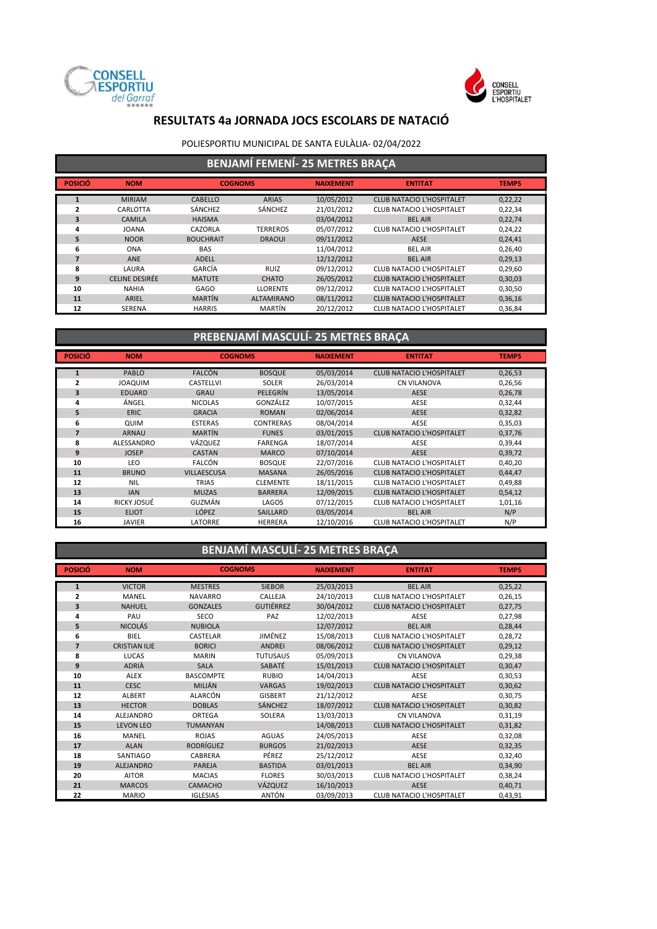



### POLIESPORTIU MUNICIPAL DE SANTA EULÀLIA- 02/04/2022

## **BENJAMÍ FEMENÍ- 25 METRES BRAÇA**

|                |                |                  |                   |                  | . .                              |              |
|----------------|----------------|------------------|-------------------|------------------|----------------------------------|--------------|
| <b>POSICIÓ</b> | <b>NOM</b>     | <b>COGNOMS</b>   |                   | <b>NAIXEMENT</b> | <b>ENTITAT</b>                   | <b>TEMPS</b> |
| 1              | <b>MIRIAM</b>  | <b>CABELLO</b>   | <b>ARIAS</b>      | 10/05/2012       | CLUB NATACIO L'HOSPITALET        | 0,22,22      |
| ,              | CARLOTTA       | SÁNCHEZ          | SÁNCHEZ           | 21/01/2012       | <b>CLUB NATACIO L'HOSPITALET</b> | 0,22,34      |
| 3              | <b>CAMILA</b>  | <b>HAISMA</b>    |                   | 03/04/2012       | <b>BEL AIR</b>                   | 0,22,74      |
| 4              | <b>JOANA</b>   | CAZORLA          | <b>TERREROS</b>   | 05/07/2012       | CLUB NATACIO L'HOSPITALET        | 0,24,22      |
| 5.             | <b>NOOR</b>    | <b>BOUCHRAIT</b> | <b>DRAOUI</b>     | 09/11/2012       | <b>AESE</b>                      | 0,24,41      |
| 6              | <b>ONA</b>     | <b>BAS</b>       |                   | 11/04/2012       | <b>BEL AIR</b>                   | 0,26,40      |
|                | ANE            | <b>ADELL</b>     |                   | 12/12/2012       | <b>BEL AIR</b>                   | 0,29,13      |
| 8              | LAURA          | GARCÍA           | RUIZ              | 09/12/2012       | CLUB NATACIO L'HOSPITALET        | 0,29,60      |
| 9              | CELINE DESIRÉE | <b>MATUTE</b>    | <b>CHATO</b>      | 26/05/2012       | <b>CLUB NATACIO L'HOSPITALET</b> | 0,30,03      |
| 10             | <b>NAHIA</b>   | <b>GAGO</b>      | <b>LLORENTE</b>   | 09/12/2012       | CLUB NATACIO L'HOSPITALET        | 0,30,50      |
| 11             | ARIEL          | <b>MARTÍN</b>    | <b>ALTAMIRANO</b> | 08/11/2012       | <b>CLUB NATACIO L'HOSPITALET</b> | 0,36,16      |
| 12             | <b>SERENA</b>  | <b>HARRIS</b>    | MARTÍN            | 20/12/2012       | <b>CLUB NATACIO L'HOSPITALET</b> | 0,36,84      |

## **PREBENJAMÍ MASCULÍ- 25 METRES BRAÇA**

| <b>POSICIÓ</b> | <b>NOM</b>     | <b>COGNOMS</b>     |                  | <b>NAIXEMENT</b> | <b>ENTITAT</b>                   | <b>TEMPS</b> |
|----------------|----------------|--------------------|------------------|------------------|----------------------------------|--------------|
| $\mathbf{1}$   | PABLO          | <b>FALCÓN</b>      | <b>BOSQUE</b>    | 05/03/2014       | <b>CLUB NATACIO L'HOSPITALET</b> |              |
|                |                |                    |                  |                  |                                  | 0,26,53      |
| $\overline{2}$ | <b>MIUDAOL</b> | <b>CASTELLVI</b>   | <b>SOLER</b>     | 26/03/2014       | <b>CN VILANOVA</b>               | 0,26,56      |
| 3              | <b>EDUARD</b>  | <b>GRAU</b>        | PELEGRÍN         | 13/05/2014       | <b>AESE</b>                      | 0,26,78      |
| 4              | ÁNGEL          | <b>NICOLAS</b>     | GONZÁLEZ         | 10/07/2015       | AESE                             | 0,32,44      |
| 5              | <b>ERIC</b>    | <b>GRACIA</b>      | <b>ROMAN</b>     | 02/06/2014       | <b>AESE</b>                      | 0,32,82      |
| 6              | QUIM           | <b>ESTERAS</b>     | <b>CONTRERAS</b> | 08/04/2014       | AESE                             | 0,35,03      |
| 7              | <b>ARNAU</b>   | <b>MARTÍN</b>      | <b>FUNES</b>     | 03/01/2015       | <b>CLUB NATACIO L'HOSPITALET</b> | 0,37,76      |
| 8              | ALESSANDRO     | VÁZQUEZ            | <b>FARENGA</b>   | 18/07/2014       | AESE                             | 0,39,44      |
| 9              | <b>JOSEP</b>   | <b>CASTAN</b>      | <b>MARCO</b>     | 07/10/2014       | <b>AESE</b>                      | 0,39,72      |
| 10             | LEO            | <b>FALCÓN</b>      | <b>BOSQUE</b>    | 22/07/2016       | <b>CLUB NATACIO L'HOSPITALET</b> | 0,40,20      |
| 11             | <b>BRUNO</b>   | <b>VILLAESCUSA</b> | <b>MASANA</b>    | 26/05/2016       | <b>CLUB NATACIO L'HOSPITALET</b> | 0,44,47      |
| 12             | <b>NIL</b>     | <b>TRIAS</b>       | <b>CLEMENTE</b>  | 18/11/2015       | <b>CLUB NATACIO L'HOSPITALET</b> | 0,49,88      |
| 13             | <b>IAN</b>     | <b>MUZAS</b>       | <b>BARRERA</b>   | 12/09/2015       | <b>CLUB NATACIO L'HOSPITALET</b> | 0,54,12      |
| 14             | RICKY JOSUÉ    | GUZMÁN             | LAGOS            | 07/12/2015       | CLUB NATACIO L'HOSPITALET        | 1,01,16      |
| 15             | <b>ELIOT</b>   | LÓPEZ              | SAILLARD         | 03/05/2014       | <b>BEL AIR</b>                   | N/P          |
| 16             | JAVIER         | LATORRE            | <b>HERRERA</b>   | 12/10/2016       | <b>CLUB NATACIO L'HOSPITALET</b> | N/P          |

## **BENJAMÍ MASCULÍ- 25 METRES BRAÇA**

| <b>POSICIÓ</b> | <b>NOM</b>           | <b>COGNOMS</b>   |                  | <b>NAIXEMENT</b> | <b>ENTITAT</b>                   | <b>TEMPS</b> |
|----------------|----------------------|------------------|------------------|------------------|----------------------------------|--------------|
| $\mathbf{1}$   | <b>VICTOR</b>        | <b>MESTRES</b>   | <b>SIEBOR</b>    | 25/03/2013       | <b>BEL AIR</b>                   | 0,25,22      |
| $\mathbf{z}$   | MANEL                | <b>NAVARRO</b>   | CALLEJA          | 24/10/2013       | CLUB NATACIO L'HOSPITALET        | 0,26,15      |
| 3              | <b>NAHUEL</b>        | <b>GONZALES</b>  | <b>GUTIÉRREZ</b> | 30/04/2012       | <b>CLUB NATACIO L'HOSPITALET</b> | 0,27,75      |
| 4              | PAU                  | <b>SECO</b>      | PAZ              | 12/02/2013       | AESE                             | 0,27,98      |
| 5              | <b>NICOLÁS</b>       | <b>NUBIOLA</b>   |                  | 12/07/2012       | <b>BEL AIR</b>                   | 0,28,44      |
| 6              | BIEL                 | <b>CASTELAR</b>  | JIMÉNEZ          | 15/08/2013       | <b>CLUB NATACIO L'HOSPITALET</b> | 0,28,72      |
| $\overline{7}$ | <b>CRISTIAN ILIE</b> | <b>BORICI</b>    | <b>ANDREI</b>    | 08/06/2012       | <b>CLUB NATACIO L'HOSPITALET</b> | 0,29,12      |
| 8              | LUCAS                | <b>MARIN</b>     | <b>TUTUSAUS</b>  | 05/09/2013       | <b>CN VILANOVA</b>               | 0,29,38      |
| 9              | <b>ADRIA</b>         | <b>SALA</b>      | SABATÉ           | 15/01/2013       | <b>CLUB NATACIO L'HOSPITALET</b> | 0,30,47      |
| 10             | ALEX                 | <b>BASCOMPTE</b> | <b>RUBIO</b>     | 14/04/2013       | AESE                             | 0,30,53      |
| 11             | CESC.                | MILIÁN           | <b>VARGAS</b>    | 19/02/2013       | <b>CLUB NATACIO L'HOSPITALET</b> | 0,30,62      |
| 12             | <b>ALBERT</b>        | ALARCÓN          | <b>GISBERT</b>   | 21/12/2012       | <b>AESE</b>                      | 0,30,75      |
| 13             | <b>HECTOR</b>        | <b>DOBLAS</b>    | <b>SÁNCHEZ</b>   | 18/07/2012       | <b>CLUB NATACIO L'HOSPITALET</b> | 0,30,82      |
| 14             | <b>ALEJANDRO</b>     | <b>ORTEGA</b>    | SOLERA           | 13/03/2013       | <b>CN VILANOVA</b>               | 0,31,19      |
| 15             | <b>LEVON LEO</b>     | <b>TUMANYAN</b>  |                  | 14/08/2013       | <b>CLUB NATACIO L'HOSPITALET</b> | 0,31,82      |
| 16             | MANEL                | <b>ROJAS</b>     | <b>AGUAS</b>     | 24/05/2013       | AESE                             | 0,32,08      |
| 17             | <b>ALAN</b>          | <b>RODRÍGUEZ</b> | <b>BURGOS</b>    | 21/02/2013       | <b>AESE</b>                      | 0,32,35      |
| 18             | SANTIAGO             | CABRERA          | PÉREZ            | 25/12/2012       | AESE                             | 0,32,40      |
| 19             | <b>ALEJANDRO</b>     | PAREJA           | <b>BASTIDA</b>   | 03/01/2013       | <b>BEL AIR</b>                   | 0,34,90      |
| 20             | <b>AITOR</b>         | <b>MACIAS</b>    | <b>FLORES</b>    | 30/03/2013       | <b>CLUB NATACIO L'HOSPITALET</b> | 0,38,24      |
| 21             | <b>MARCOS</b>        | <b>CAMACHO</b>   | VÁZQUEZ          | 16/10/2013       | AESE                             | 0,40,71      |
| 22             | <b>MARIO</b>         | <b>IGLESIAS</b>  | ANTÓN            | 03/09/2013       | <b>CLUB NATACIO L'HOSPITALET</b> | 0,43,91      |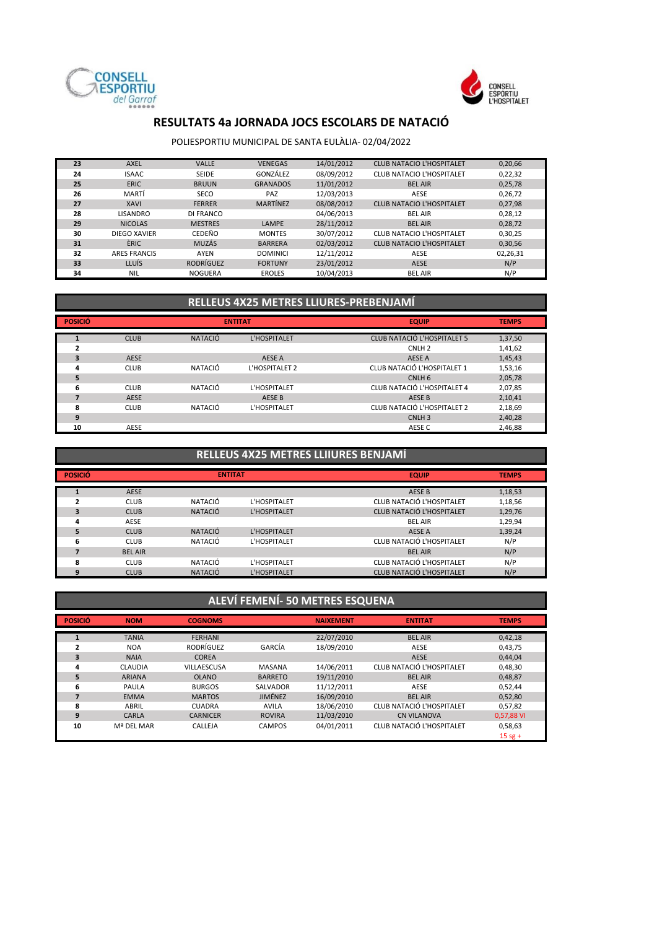



#### POLIESPORTIU MUNICIPAL DE SANTA EULÀLIA- 02/04/2022

| 23 | <b>AXEL</b>         | <b>VALLE</b>     | <b>VENEGAS</b>  | 14/01/2012 | <b>CLUB NATACIO L'HOSPITALET</b> | 0,20,66  |
|----|---------------------|------------------|-----------------|------------|----------------------------------|----------|
| 24 | <b>ISAAC</b>        | SEIDE            | GONZÁLEZ        | 08/09/2012 | <b>CLUB NATACIO L'HOSPITALET</b> | 0,22,32  |
| 25 | <b>ERIC</b>         | <b>BRUUN</b>     | <b>GRANADOS</b> | 11/01/2012 | <b>BEL AIR</b>                   | 0,25,78  |
| 26 | MARTÍ               | <b>SECO</b>      | PAZ             | 12/03/2013 | AESE                             | 0,26,72  |
| 27 | <b>XAVI</b>         | <b>FERRER</b>    | <b>MARTÍNEZ</b> | 08/08/2012 | <b>CLUB NATACIO L'HOSPITALET</b> | 0,27,98  |
| 28 | <b>LISANDRO</b>     | DI FRANCO        |                 | 04/06/2013 | <b>BEL AIR</b>                   | 0,28,12  |
| 29 | <b>NICOLAS</b>      | <b>MESTRES</b>   | <b>LAMPE</b>    | 28/11/2012 | <b>BEL AIR</b>                   | 0,28,72  |
| 30 | DIEGO XAVIER        | CEDEÑO           | <b>MONTES</b>   | 30/07/2012 | CLUB NATACIO L'HOSPITALET        | 0,30,25  |
| 31 | ÈRIC.               | <b>MUZÁS</b>     | <b>BARRERA</b>  | 02/03/2012 | <b>CLUB NATACIO L'HOSPITALET</b> | 0,30,56  |
| 32 | <b>ARES FRANCIS</b> | <b>AYEN</b>      | <b>DOMINICI</b> | 12/11/2012 | AESE                             | 02,26,31 |
| 33 | LLUÍS               | <b>RODRÍGUEZ</b> | <b>FORTUNY</b>  | 23/01/2012 | <b>AESE</b>                      | N/P      |
| 34 | <b>NIL</b>          | <b>NOGUERA</b>   | <b>EROLES</b>   | 10/04/2013 | <b>BEL AIR</b>                   | N/P      |
|    |                     |                  |                 |            |                                  |          |

### **RELLEUS 4X25 METRES LLIURES-PREBENJAMÍ**

| <b>POSICIÓ</b> |             |                | <b>ENTITAT</b> | <b>EQUIP</b>                       | <b>TEMPS</b> |
|----------------|-------------|----------------|----------------|------------------------------------|--------------|
|                | <b>CLUB</b> | <b>NATACIÓ</b> | L'HOSPITALET   | <b>CLUB NATACIÓ L'HOSPITALET 5</b> | 1,37,50      |
| 2              |             |                |                | CNLH <sub>2</sub>                  | 1,41,62      |
| 3              | <b>AESE</b> |                | AESE A         | AESE A                             | 1,45,43      |
| 4              | <b>CLUB</b> | NATACIÓ        | L'HOSPITALET 2 | CLUB NATACIÓ L'HOSPITALET 1        | 1,53,16      |
| 5              |             |                |                | CNLH <sub>6</sub>                  | 2,05,78      |
| 6              | <b>CLUB</b> | NATACIÓ        | L'HOSPITALET   | CLUB NATACIÓ L'HOSPITALET 4        | 2,07,85      |
|                | <b>AESE</b> |                | AESE B         | AESE B                             | 2,10,41      |
| 8              | <b>CLUB</b> | NATACIÓ        | L'HOSPITALET   | CLUB NATACIÓ L'HOSPITALET 2        | 2,18,69      |
| 9              |             |                |                | CNLH <sub>3</sub>                  | 2,40,28      |
| 10             | AESE        |                |                | AESE C                             | 2,46,88      |

#### **RELLEUS 4X25 METRES LLIIURES BENJAMÍ**

| <b>POSICIÓ</b> |                | <b>ENTITAT</b> |              | <b>EQUIP</b>                     | <b>TEMPS</b> |
|----------------|----------------|----------------|--------------|----------------------------------|--------------|
|                | <b>AESE</b>    |                |              | <b>AESE B</b>                    | 1,18,53      |
|                | <b>CLUB</b>    | NATACIÓ        | L'HOSPITALET | CLUB NATACIÓ L'HOSPITALET        | 1,18,56      |
| 3              | <b>CLUB</b>    | <b>NATACIÓ</b> | L'HOSPITALET | <b>CLUB NATACIÓ L'HOSPITALET</b> | 1,29,76      |
| 4              | AESE           |                |              | <b>BEL AIR</b>                   | 1,29,94      |
| 5              | <b>CLUB</b>    | <b>NATACIÓ</b> | L'HOSPITALET | AESE A                           | 1,39,24      |
| 6              | <b>CLUB</b>    | NATACIÓ        | L'HOSPITALET | CLUB NATACIÓ L'HOSPITALET        | N/P          |
|                | <b>BEL AIR</b> |                |              | <b>BEL AIR</b>                   | N/P          |
| ጸ              | <b>CLUB</b>    | NATACIÓ        | L'HOSPITALET | CLUB NATACIÓ L'HOSPITALET        | N/P          |
|                | <b>CLUB</b>    | <b>NATACIÓ</b> | L'HOSPITALET | <b>CLUB NATACIÓ L'HOSPITALET</b> | N/P          |

#### **POSICIÓ NOM COGNOMS NAIXEMENT ENTITAT TEMPS** TANIA FERHANI 22/07/2010 BEL AIR 0,42,18 NOA RODRÍGUEZ GARCÍA 18/09/2010 AESE 0,43,75 NAIA COREA **COREA AESE 0,44,04**  CLAUDIA VILLAESCUSA MASANA 14/06/2011 CLUB NATACIÓ L'HOSPITALET 0,48,30 ARIANA OLANO BARRETO 19/11/2010 BEL AIR 0,48,87 PAULA BURGOS SALVADOR 11/12/2011 AESE 0,52,44 EMMA MARTOS JIMÉNEZ 16/09/2010 BEL AIR 0,52,80 ABRIL CUADRA AVILA 18/06/2010 CLUB NATACIÓ L'HOSPITALET 0,57,82  $\overline{\text{CN}}$  VILANOVA Mª DEL MAR CALLEJA CAMPOS 04/01/2011 CLUB NATACIÓ L'HOSPITALET 0,58,63 15 sg + **ALEVÍ FEMENÍ- 50 METRES ESQUENA**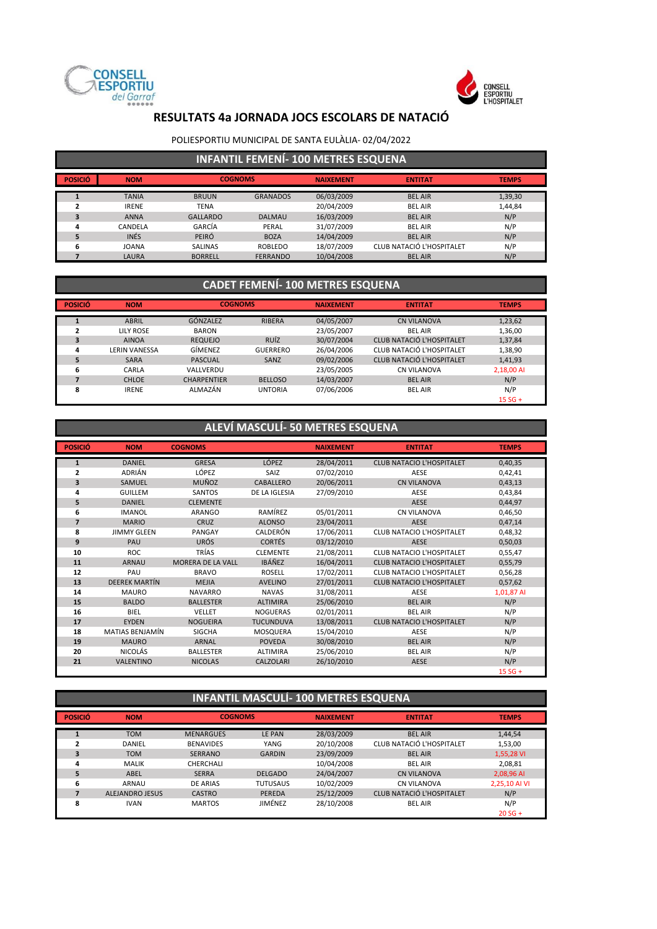



#### POLIESPORTIU MUNICIPAL DE SANTA EULÀLIA- 02/04/2022

|  | <b>INFANTIL FEMENÍ- 100 METRES ESQUENA</b> |
|--|--------------------------------------------|
|  |                                            |

| <b>POSICIÓ</b> | <b>NOM</b>   | <b>COGNOMS</b>  |                 | <b>NAIXEMENT</b> | <b>ENTITAT</b>            | <b>TEMPS</b> |
|----------------|--------------|-----------------|-----------------|------------------|---------------------------|--------------|
|                | <b>TANIA</b> | <b>BRUUN</b>    | <b>GRANADOS</b> | 06/03/2009       | <b>BEL AIR</b>            | 1,39,30      |
|                | <b>IRENE</b> | <b>TENA</b>     |                 | 20/04/2009       | <b>BEL AIR</b>            | 1,44,84      |
|                | <b>ANNA</b>  | <b>GALLARDO</b> | <b>DALMAU</b>   | 16/03/2009       | <b>BEL AIR</b>            | N/P          |
| 4              | CANDELA      | GARCÍA          | PERAL           | 31/07/2009       | <b>BEL AIR</b>            | N/P          |
|                | <b>INÉS</b>  | PEIRÓ           | <b>BOZA</b>     | 14/04/2009       | <b>BEL AIR</b>            | N/P          |
| 6              | <b>JOANA</b> | <b>SALINAS</b>  | <b>ROBLEDO</b>  | 18/07/2009       | CLUB NATACIÓ L'HOSPITALET | N/P          |
|                | LAURA        | <b>BORRELL</b>  | <b>FERRANDO</b> | 10/04/2008       | <b>BEL AIR</b>            | N/P          |

## **CADET FEMENÍ- 100 METRES ESQUENA**

| <b>POSICIÓ</b> | <b>NOM</b>           | <b>COGNOMS</b>     |                 | <b>NAIXEMENT</b> | <b>ENTITAT</b>                   | <b>TEMPS</b> |
|----------------|----------------------|--------------------|-----------------|------------------|----------------------------------|--------------|
|                | <b>ABRIL</b>         | <b>GÓNZALEZ</b>    | <b>RIBERA</b>   | 04/05/2007       | <b>CN VILANOVA</b>               | 1,23,62      |
|                | LILY ROSE            | <b>BARON</b>       |                 | 23/05/2007       | <b>BEL AIR</b>                   | 1,36,00      |
| 3              | <b>AINOA</b>         | <b>REQUEJO</b>     | <b>RUÍZ</b>     | 30/07/2004       | CLUB NATACIÓ L'HOSPITALET        | 1,37,84      |
| 4              | <b>LERIN VANESSA</b> | GÍMENEZ            | <b>GUERRERO</b> | 26/04/2006       | CLUB NATACIÓ L'HOSPITALET        | 1,38,90      |
| 5              | <b>SARA</b>          | <b>PASCUAL</b>     | SANZ            | 09/02/2006       | <b>CLUB NATACIÓ L'HOSPITALET</b> | 1,41,93      |
| 6              | CARLA                | VALLVERDU          |                 | 23/05/2005       | <b>CN VILANOVA</b>               | 2,18,00 AI   |
|                | <b>CHLOE</b>         | <b>CHARPENTIER</b> | <b>BELLOSO</b>  | 14/03/2007       | <b>BEL AIR</b>                   | N/P          |
| 8              | <b>IRENE</b>         | ALMAZÁN            | <b>UNTORIA</b>  | 07/06/2006       | <b>BEL AIR</b>                   | N/P          |
|                |                      |                    |                 |                  |                                  | $15 SG +$    |

# **ALEVÍ MASCULÍ- 50 METRES ESQUENA**

| <b>POSICIÓ</b> | <b>NOM</b>           | <b>COGNOMS</b>    |                  | <b>NAIXEMENT</b> | <b>ENTITAT</b>                   | <b>TEMPS</b> |
|----------------|----------------------|-------------------|------------------|------------------|----------------------------------|--------------|
| $\mathbf{1}$   | <b>DANIEL</b>        | <b>GRESA</b>      | <b>LÓPEZ</b>     | 28/04/2011       | <b>CLUB NATACIO L'HOSPITALET</b> | 0,40,35      |
| $\overline{2}$ | <b>ADRIÁN</b>        | LÓPEZ             | SAIZ             | 07/02/2010       | AESE                             | 0,42,41      |
| 3              | SAMUEL               | <b>MUÑOZ</b>      | CABALLERO        | 20/06/2011       | <b>CN VILANOVA</b>               | 0,43,13      |
| 4              | <b>GUILLEM</b>       | <b>SANTOS</b>     | DE LA IGLESIA    | 27/09/2010       | AESE                             | 0,43,84      |
| 5              | <b>DANIEL</b>        | <b>CLEMENTE</b>   |                  |                  | <b>AESE</b>                      | 0,44,97      |
| 6              | <b>IMANOL</b>        | <b>ARANGO</b>     | RAMÍREZ          | 05/01/2011       | CN VILANOVA                      | 0,46,50      |
| $\overline{7}$ | <b>MARIO</b>         | <b>CRUZ</b>       | <b>ALONSO</b>    | 23/04/2011       | <b>AESE</b>                      | 0,47,14      |
| 8              | <b>JIMMY GLEEN</b>   | PANGAY            | CALDERÓN         | 17/06/2011       | <b>CLUB NATACIO L'HOSPITALET</b> | 0,48,32      |
| 9              | PAU                  | <b>URÓS</b>       | <b>CORTÉS</b>    | 03/12/2010       | <b>AESE</b>                      | 0,50,03      |
| 10             | <b>ROC</b>           | TRÍAS             | <b>CLEMENTE</b>  | 21/08/2011       | <b>CLUB NATACIO L'HOSPITALET</b> | 0,55,47      |
| 11             | <b>ARNAU</b>         | MORERA DE LA VALL | <b>IBÁÑEZ</b>    | 16/04/2011       | <b>CLUB NATACIO L'HOSPITALET</b> | 0,55,79      |
| 12             | PAU                  | <b>BRAVO</b>      | <b>ROSELL</b>    | 17/02/2011       | <b>CLUB NATACIO L'HOSPITALET</b> | 0,56,28      |
| 13             | <b>DEEREK MARTÍN</b> | <b>MEJIA</b>      | <b>AVELINO</b>   | 27/01/2011       | <b>CLUB NATACIO L'HOSPITALET</b> | 0,57,62      |
| 14             | <b>MAURO</b>         | <b>NAVARRO</b>    | <b>NAVAS</b>     | 31/08/2011       | AESE                             | 1,01,87 AI   |
| 15             | <b>BALDO</b>         | <b>BALLESTER</b>  | <b>ALTIMIRA</b>  | 25/06/2010       | <b>BEL AIR</b>                   | N/P          |
| 16             | BIEL                 | VELLET            | <b>NOGUERAS</b>  | 02/01/2011       | <b>BEL AIR</b>                   | N/P          |
| 17             | <b>EYDEN</b>         | <b>NOGUEIRA</b>   | <b>TUCUNDUVA</b> | 13/08/2011       | <b>CLUB NATACIO L'HOSPITALET</b> | N/P          |
| 18             | MATIAS BENJAMÍN      | <b>SIGCHA</b>     | <b>MOSQUERA</b>  | 15/04/2010       | AESE                             | N/P          |
| 19             | <b>MAURO</b>         | <b>ARNAL</b>      | <b>POVEDA</b>    | 30/08/2010       | <b>BEL AIR</b>                   | N/P          |
| 20             | NICOLÁS              | <b>BALLESTER</b>  | <b>ALTIMIRA</b>  | 25/06/2010       | <b>BEL AIR</b>                   | N/P          |
| 21             | <b>VALENTINO</b>     | <b>NICOLAS</b>    | <b>CALZOLARI</b> | 26/10/2010       | <b>AESE</b>                      | N/P          |
|                |                      |                   |                  |                  |                                  | $15 SG +$    |

### **INFANTIL MASCULÍ- 100 METRES ESQUENA**

| <b>POSICIÓ</b> | <b>NOM</b>             | <b>COGNOMS</b>   |                 | <b>NAIXEMENT</b> | <b>ENTITAT</b>            | <b>TEMPS</b>  |
|----------------|------------------------|------------------|-----------------|------------------|---------------------------|---------------|
|                | <b>TOM</b>             | <b>MENARGUES</b> | LE PAN          | 28/03/2009       | <b>BEL AIR</b>            | 1,44,54       |
| 2              | DANIEL                 | <b>BENAVIDES</b> | YANG            | 20/10/2008       | CLUB NATACIÓ L'HOSPITALET | 1,53,00       |
| 3              | <b>TOM</b>             | <b>SERRANO</b>   | <b>GARDIN</b>   | 23/09/2009       | <b>BEL AIR</b>            | 1,55,28 VI    |
| 4              | <b>MALIK</b>           | CHERCHALI        |                 | 10/04/2008       | <b>BEL AIR</b>            | 2,08,81       |
| 5              | ABEL                   | <b>SERRA</b>     | <b>DELGADO</b>  | 24/04/2007       | <b>CN VILANOVA</b>        | 2,08,96 AI    |
| 6              | ARNAU                  | DE ARIAS         | <b>TUTUSAUS</b> | 10/02/2009       | <b>CN VILANOVA</b>        | 2,25,10 AI VI |
|                | <b>ALEJANDRO JESUS</b> | <b>CASTRO</b>    | PEREDA          | 25/12/2009       | CLUB NATACIÓ L'HOSPITALET | N/P           |
| 8              | <b>IVAN</b>            | <b>MARTOS</b>    | JIMÉNEZ         | 28/10/2008       | <b>BEL AIR</b>            | N/P           |
|                |                        |                  |                 |                  |                           | $20 SG +$     |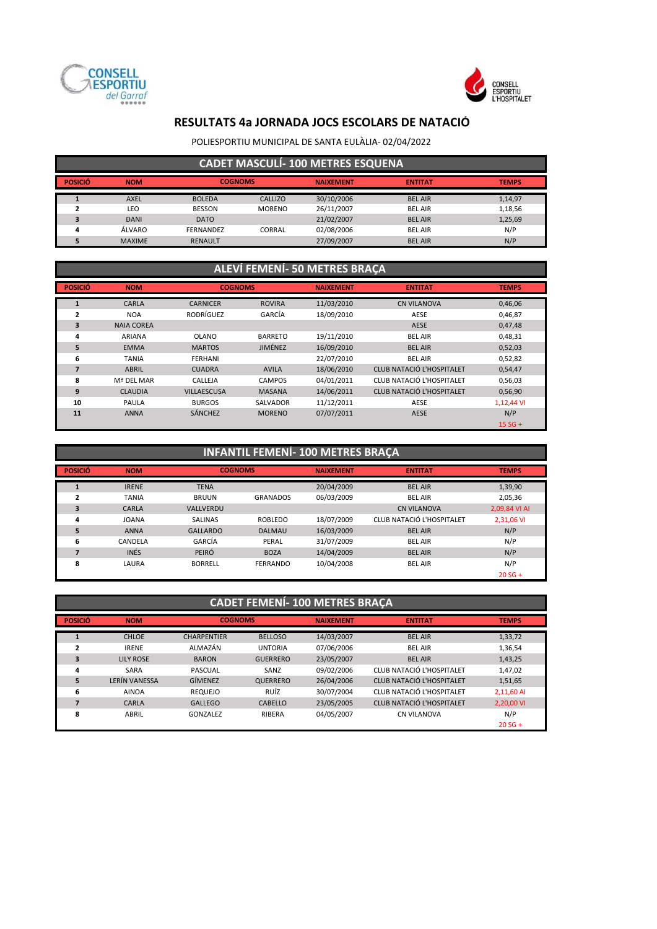



POLIESPORTIU MUNICIPAL DE SANTA EULÀLIA- 02/04/2022

| <b>CADET MASCULÍ-100 METRES ESQUENA</b> |               |                  |               |                  |                |              |  |  |  |
|-----------------------------------------|---------------|------------------|---------------|------------------|----------------|--------------|--|--|--|
| <b>POSICIÓ</b>                          | <b>NOM</b>    | <b>COGNOMS</b>   |               | <b>NAIXEMENT</b> | <b>ENTITAT</b> | <b>TEMPS</b> |  |  |  |
|                                         | <b>AXEL</b>   | <b>BOLEDA</b>    | CALLIZO       | 30/10/2006       | <b>BEL AIR</b> | 1,14,97      |  |  |  |
|                                         | LEO           | <b>BESSON</b>    | <b>MORENO</b> | 26/11/2007       | <b>BEL AIR</b> | 1,18,56      |  |  |  |
| э                                       | <b>DANI</b>   | <b>DATO</b>      |               | 21/02/2007       | <b>BEL AIR</b> | 1,25,69      |  |  |  |
| $\boldsymbol{\Lambda}$                  | ÁLVARO        | <b>FERNANDEZ</b> | CORRAL        | 02/08/2006       | <b>BEL AIR</b> | N/P          |  |  |  |
|                                         | <b>MAXIME</b> | <b>RENAULT</b>   |               | 27/09/2007       | <b>BEL AIR</b> | N/P          |  |  |  |

### **ALEVÍ FEMENÍ- 50 METRES BRAÇA**

| <b>POSICIÓ</b> | <b>NOM</b>        | <b>COGNOMS</b>     |                | <b>NAIXEMENT</b> | <b>ENTITAT</b>                   | <b>TEMPS</b> |  |
|----------------|-------------------|--------------------|----------------|------------------|----------------------------------|--------------|--|
|                | CARLA             | <b>CARNICER</b>    | <b>ROVIRA</b>  | 11/03/2010       | <b>CN VILANOVA</b>               | 0,46,06      |  |
| 2              | <b>NOA</b>        | RODRÍGUEZ          | GARCÍA         | 18/09/2010       | <b>AESE</b>                      | 0,46,87      |  |
| 3              | <b>NAIA COREA</b> |                    |                |                  | <b>AESE</b>                      | 0,47,48      |  |
| 4              | <b>ARIANA</b>     | <b>OLANO</b>       | <b>BARRETO</b> | 19/11/2010       | <b>BEL AIR</b>                   | 0,48,31      |  |
| 5              | <b>EMMA</b>       | <b>MARTOS</b>      | JIMÉNEZ        | 16/09/2010       | <b>BEL AIR</b>                   | 0,52,03      |  |
| 6              | <b>TANIA</b>      | <b>FERHANI</b>     |                | 22/07/2010       | <b>BEL AIR</b>                   | 0,52,82      |  |
| 7              | ABRIL             | <b>CUADRA</b>      | <b>AVILA</b>   | 18/06/2010       | <b>CLUB NATACIÓ L'HOSPITALET</b> | 0,54,47      |  |
| 8              | Mª DEL MAR        | CALLEJA            | <b>CAMPOS</b>  | 04/01/2011       | CLUB NATACIÓ L'HOSPITALET        | 0,56,03      |  |
| 9              | <b>CLAUDIA</b>    | <b>VILLAESCUSA</b> | <b>MASANA</b>  | 14/06/2011       | <b>CLUB NATACIÓ L'HOSPITALET</b> | 0,56,90      |  |
| 10             | PAULA             | <b>BURGOS</b>      | SALVADOR       | 11/12/2011       | AESE                             | 1,12,44 VI   |  |
| 11             | <b>ANNA</b>       | SÁNCHEZ            | <b>MORENO</b>  | 07/07/2011       | <b>AESE</b>                      | N/P          |  |
|                |                   |                    |                |                  |                                  | $15 SG +$    |  |

|                | <b>INFANTIL FEMENÍ- 100 METRES BRAÇA</b> |                 |                 |                  |                           |               |  |  |  |  |
|----------------|------------------------------------------|-----------------|-----------------|------------------|---------------------------|---------------|--|--|--|--|
| <b>POSICIÓ</b> | <b>NOM</b>                               | <b>COGNOMS</b>  |                 | <b>NAIXEMENT</b> | <b>ENTITAT</b>            | <b>TEMPS</b>  |  |  |  |  |
|                | <b>IRENE</b>                             | <b>TENA</b>     |                 | 20/04/2009       | <b>BEL AIR</b>            | 1,39,90       |  |  |  |  |
| 2              | <b>TANIA</b>                             | <b>BRUUN</b>    | <b>GRANADOS</b> | 06/03/2009       | <b>BEL AIR</b>            | 2,05,36       |  |  |  |  |
| 3              | CARLA                                    | VALLVERDU       |                 |                  | <b>CN VILANOVA</b>        | 2,09,84 VI AI |  |  |  |  |
| 4              | <b>JOANA</b>                             | <b>SALINAS</b>  | <b>ROBLEDO</b>  | 18/07/2009       | CLUB NATACIÓ L'HOSPITALET | 2,31,06 VI    |  |  |  |  |
| 5              | <b>ANNA</b>                              | <b>GALLARDO</b> | <b>DALMAU</b>   | 16/03/2009       | <b>BEL AIR</b>            | N/P           |  |  |  |  |
| 6              | CANDELA                                  | GARCÍA          | PERAL           | 31/07/2009       | <b>BEL AIR</b>            | N/P           |  |  |  |  |
|                | <b>INÉS</b>                              | PEIRÓ           | <b>BOZA</b>     | 14/04/2009       | <b>BEL AIR</b>            | N/P           |  |  |  |  |
| 8              | LAURA                                    | <b>BORRELL</b>  | <b>FERRANDO</b> | 10/04/2008       | <b>BEL AIR</b>            | N/P           |  |  |  |  |
|                |                                          |                 |                 |                  |                           | $20 SG +$     |  |  |  |  |

|                | <b>CADET FEMENÍ-100 METRES BRAÇA</b> |                    |                 |                  |                                  |              |  |  |  |  |
|----------------|--------------------------------------|--------------------|-----------------|------------------|----------------------------------|--------------|--|--|--|--|
| <b>POSICIÓ</b> | <b>NOM</b>                           | <b>COGNOMS</b>     |                 | <b>NAIXEMENT</b> | <b>ENTITAT</b>                   | <b>TEMPS</b> |  |  |  |  |
| $\overline{ }$ | <b>CHLOE</b>                         | <b>CHARPENTIER</b> | <b>BELLOSO</b>  | 14/03/2007       | <b>BEL AIR</b>                   | 1,33,72      |  |  |  |  |
| $\overline{2}$ | <b>IRENE</b>                         | ALMAZÁN            | <b>UNTORIA</b>  | 07/06/2006       | <b>BEL AIR</b>                   | 1,36,54      |  |  |  |  |
| 3              | <b>LILY ROSE</b>                     | <b>BARON</b>       | <b>GUERRERO</b> | 23/05/2007       | <b>BEL AIR</b>                   | 1,43,25      |  |  |  |  |
| 4              | SARA                                 | PASCUAL            | SANZ            | 09/02/2006       | CLUB NATACIÓ L'HOSPITALET        | 1,47,02      |  |  |  |  |
| 5              | <b>LERÍN VANESSA</b>                 | GÍMENEZ            | <b>QUERRERO</b> | 26/04/2006       | <b>CLUB NATACIÓ L'HOSPITALET</b> | 1,51,65      |  |  |  |  |
| 6              | <b>AINOA</b>                         | <b>REQUEJO</b>     | RUÍZ            | 30/07/2004       | CLUB NATACIÓ L'HOSPITALET        | 2,11,60 AI   |  |  |  |  |
|                | CARLA                                | <b>GALLEGO</b>     | <b>CABELLO</b>  | 23/05/2005       | <b>CLUB NATACIÓ L'HOSPITALET</b> | 2,20,00 VI   |  |  |  |  |
| 8              | ABRIL                                | <b>GONZALEZ</b>    | RIBERA          | 04/05/2007       | <b>CN VILANOVA</b>               | N/P          |  |  |  |  |
|                |                                      |                    |                 |                  |                                  | $20 SG +$    |  |  |  |  |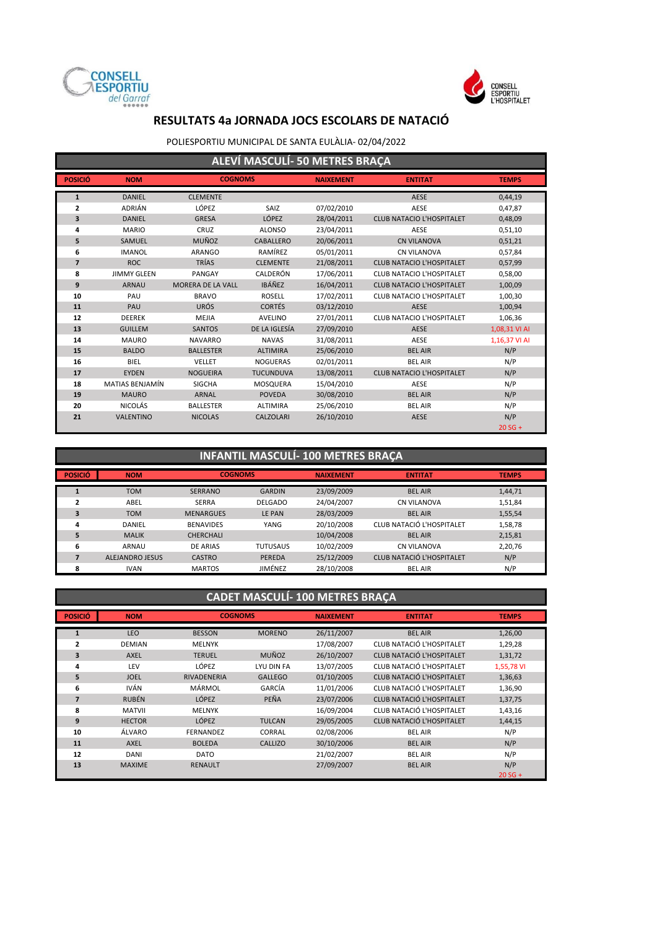



#### POLIESPORTIU MUNICIPAL DE SANTA EULÀLIA- 02/04/2022

|                | ALEVÍ MASCULÍ- 50 METRES BRAÇA |                          |                  |                  |                                  |               |  |  |  |
|----------------|--------------------------------|--------------------------|------------------|------------------|----------------------------------|---------------|--|--|--|
| <b>POSICIÓ</b> | <b>NOM</b>                     | <b>COGNOMS</b>           |                  | <b>NAIXEMENT</b> | <b>ENTITAT</b>                   | <b>TEMPS</b>  |  |  |  |
| $\mathbf{1}$   | <b>DANIEL</b>                  | <b>CLEMENTE</b>          |                  |                  | AESE                             | 0,44,19       |  |  |  |
| 2              | <b>ADRIÁN</b>                  | LÓPEZ                    | SAIZ             | 07/02/2010       | AESE                             | 0,47,87       |  |  |  |
| 3              | <b>DANIEL</b>                  | <b>GRESA</b>             | LÓPEZ            | 28/04/2011       | <b>CLUB NATACIO L'HOSPITALET</b> | 0,48,09       |  |  |  |
| 4              | <b>MARIO</b>                   | CRUZ                     | <b>ALONSO</b>    | 23/04/2011       | AESE                             | 0,51,10       |  |  |  |
| 5              | SAMUEL                         | <b>MUÑOZ</b>             | CABALLERO        | 20/06/2011       | <b>CN VILANOVA</b>               | 0,51,21       |  |  |  |
| 6              | <b>IMANOL</b>                  | <b>ARANGO</b>            | RAMÍREZ          | 05/01/2011       | <b>CN VILANOVA</b>               | 0,57,84       |  |  |  |
| $\overline{7}$ | <b>ROC</b>                     | <b>TRÍAS</b>             | <b>CLEMENTE</b>  | 21/08/2011       | <b>CLUB NATACIO L'HOSPITALET</b> | 0,57,99       |  |  |  |
| 8              | <b>JIMMY GLEEN</b>             | PANGAY                   | CALDERÓN         | 17/06/2011       | <b>CLUB NATACIO L'HOSPITALET</b> | 0,58,00       |  |  |  |
| 9              | <b>ARNAU</b>                   | <b>MORERA DE LA VALL</b> | <b>IBÁÑEZ</b>    | 16/04/2011       | <b>CLUB NATACIO L'HOSPITALET</b> | 1,00,09       |  |  |  |
| 10             | PAU                            | <b>BRAVO</b>             | <b>ROSELL</b>    | 17/02/2011       | <b>CLUB NATACIO L'HOSPITALET</b> | 1,00,30       |  |  |  |
| 11             | PAU                            | <b>URÓS</b>              | <b>CORTÉS</b>    | 03/12/2010       | <b>AESE</b>                      | 1,00,94       |  |  |  |
| 12             | <b>DEEREK</b>                  | <b>MEJIA</b>             | <b>AVELINO</b>   | 27/01/2011       | <b>CLUB NATACIO L'HOSPITALET</b> | 1,06,36       |  |  |  |
| 13             | <b>GUILLEM</b>                 | <b>SANTOS</b>            | DE LA IGLESÍA    | 27/09/2010       | <b>AESE</b>                      | 1,08,31 VI AI |  |  |  |
| 14             | <b>MAURO</b>                   | <b>NAVARRO</b>           | <b>NAVAS</b>     | 31/08/2011       | AESE                             | 1,16,37 VI AI |  |  |  |
| 15             | <b>BALDO</b>                   | <b>BALLESTER</b>         | <b>ALTIMIRA</b>  | 25/06/2010       | <b>BEL AIR</b>                   | N/P           |  |  |  |
| 16             | <b>BIEL</b>                    | <b>VELLET</b>            | <b>NOGUERAS</b>  | 02/01/2011       | <b>BEL AIR</b>                   | N/P           |  |  |  |
| 17             | <b>EYDEN</b>                   | <b>NOGUEIRA</b>          | <b>TUCUNDUVA</b> | 13/08/2011       | <b>CLUB NATACIO L'HOSPITALET</b> | N/P           |  |  |  |
| 18             | MATIAS BENJAMÍN                | <b>SIGCHA</b>            | MOSQUERA         | 15/04/2010       | AESE                             | N/P           |  |  |  |
| 19             | <b>MAURO</b>                   | <b>ARNAL</b>             | <b>POVEDA</b>    | 30/08/2010       | <b>BEL AIR</b>                   | N/P           |  |  |  |
| 20             | <b>NICOLÁS</b>                 | <b>BALLESTER</b>         | <b>ALTIMIRA</b>  | 25/06/2010       | <b>BEL AIR</b>                   | N/P           |  |  |  |
| 21             | <b>VALENTINO</b>               | <b>NICOLAS</b>           | <b>CALZOLARI</b> | 26/10/2010       | <b>AESE</b>                      | N/P           |  |  |  |
|                |                                |                          |                  |                  |                                  | $20 SG +$     |  |  |  |

## **INFANTIL MASCULÍ- 100 METRES BRAÇA**

| <b>POSICIÓ</b> | <b>NOM</b>             | <b>COGNOMS</b>   |                 | <b>NAIXEMENT</b> | <b>ENTITAT</b>                   | <b>TEMPS</b> |
|----------------|------------------------|------------------|-----------------|------------------|----------------------------------|--------------|
|                | <b>TOM</b>             | <b>SERRANO</b>   | <b>GARDIN</b>   | 23/09/2009       | <b>BEL AIR</b>                   | 1,44,71      |
| 2              | ABEL                   | <b>SERRA</b>     | <b>DELGADO</b>  | 24/04/2007       | <b>CN VILANOVA</b>               | 1,51,84      |
| 3              | <b>TOM</b>             | <b>MENARGUES</b> | LE PAN          | 28/03/2009       | <b>BEL AIR</b>                   | 1,55,54      |
| 4              | <b>DANIEL</b>          | <b>BENAVIDES</b> | YANG            | 20/10/2008       | CLUB NATACIÓ L'HOSPITALET        | 1,58,78      |
| 5              | <b>MALIK</b>           | <b>CHERCHALI</b> |                 | 10/04/2008       | <b>BEL AIR</b>                   | 2,15,81      |
| 6              | ARNAU                  | <b>DE ARIAS</b>  | <b>TUTUSAUS</b> | 10/02/2009       | <b>CN VILANOVA</b>               | 2,20,76      |
|                | <b>ALEJANDRO JESUS</b> | <b>CASTRO</b>    | <b>PEREDA</b>   | 25/12/2009       | <b>CLUB NATACIÓ L'HOSPITALET</b> | N/P          |
| 8              | <b>IVAN</b>            | <b>MARTOS</b>    | JIMÉNEZ         | 28/10/2008       | <b>BEL AIR</b>                   | N/P          |

## **CADET MASCULÍ- 100 METRES BRAÇA**

| <b>POSICIÓ</b> | <b>NOM</b>    | <b>COGNOMS</b>     |                | <b>NAIXEMENT</b> | <b>ENTITAT</b>                   | <b>TEMPS</b> |
|----------------|---------------|--------------------|----------------|------------------|----------------------------------|--------------|
| $\mathbf{1}$   | <b>LEO</b>    | <b>BESSON</b>      | <b>MORENO</b>  | 26/11/2007       | <b>BEL AIR</b>                   | 1,26,00      |
| 2              | <b>DEMIAN</b> | <b>MELNYK</b>      |                | 17/08/2007       | CLUB NATACIÓ L'HOSPITALET        | 1,29,28      |
| 3              | <b>AXEL</b>   | <b>TERUEL</b>      | MUÑOZ          | 26/10/2007       | <b>CLUB NATACIÓ L'HOSPITALET</b> | 1,31,72      |
| 4              | LEV           | LÓPEZ              | LYU DIN FA     | 13/07/2005       | CLUB NATACIÓ L'HOSPITALET        | 1,55,78 VI   |
| 5              | <b>JOEL</b>   | <b>RIVADENERIA</b> | <b>GALLEGO</b> | 01/10/2005       | <b>CLUB NATACIÓ L'HOSPITALET</b> | 1,36,63      |
| 6              | <b>IVÁN</b>   | MÁRMOL             | GARCÍA         | 11/01/2006       | CLUB NATACIÓ L'HOSPITALET        | 1,36,90      |
| $\overline{7}$ | <b>RUBÉN</b>  | LÓPEZ              | PEÑA           | 23/07/2006       | CLUB NATACIÓ L'HOSPITALET        | 1,37,75      |
| 8              | <b>MATVII</b> | <b>MELNYK</b>      |                | 16/09/2004       | CLUB NATACIÓ L'HOSPITALET        | 1,43,16      |
| 9              | <b>HECTOR</b> | <b>LÓPEZ</b>       | <b>TULCAN</b>  | 29/05/2005       | <b>CLUB NATACIÓ L'HOSPITALET</b> | 1,44,15      |
| 10             | ÁLVARO        | <b>FERNANDEZ</b>   | CORRAL         | 02/08/2006       | <b>BEL AIR</b>                   | N/P          |
| 11             | <b>AXEL</b>   | <b>BOLEDA</b>      | <b>CALLIZO</b> | 30/10/2006       | <b>BEL AIR</b>                   | N/P          |
| 12             | <b>DANI</b>   | <b>DATO</b>        |                | 21/02/2007       | <b>BEL AIR</b>                   | N/P          |
| 13             | <b>MAXIME</b> | <b>RENAULT</b>     |                | 27/09/2007       | <b>BEL AIR</b>                   | N/P          |
|                |               |                    |                |                  |                                  | $20 SG +$    |